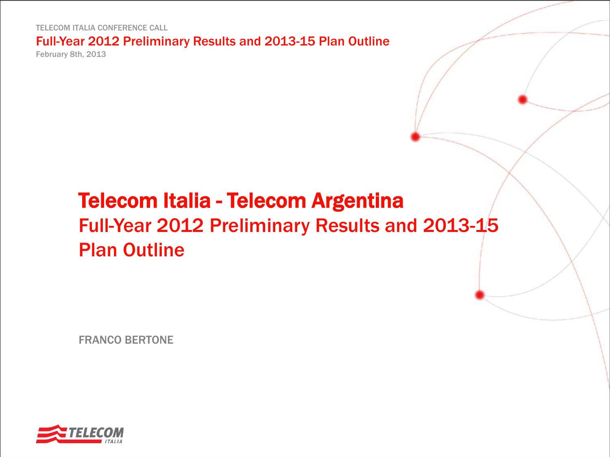TELECOM ITALIA CONFERENCE CALL

Full-Year 2012 Preliminary Results and 2013-15 Plan Outline February 8th, 2013

# Telecom Italia - Telecom Argentina Full-Year 2012 Preliminary Results and 2013-15 Plan Outline

FRANCO BERTONE

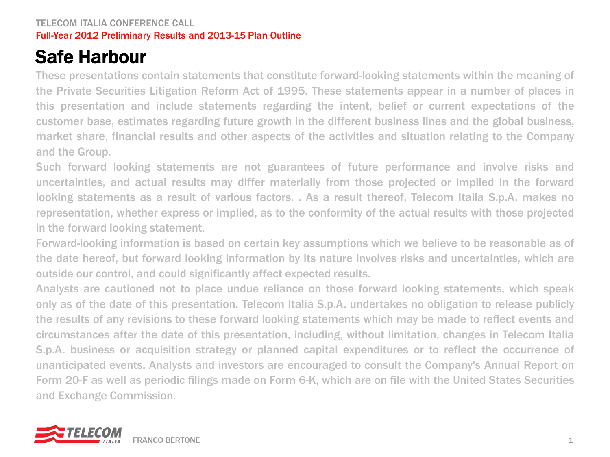## Safe Harbour

These presentations contain statements that constitute forward-looking statements within the meaning of the Private Securities Litigation Reform Act of 1995. These statements appear in a number of places in this presentation and include statements regarding the intent, belief or current expectations of the customer base, estimates regarding future growth in the different business lines and the global business, market share, financial results and other aspects of the activities and situation relating to the Company and the Group.

Such forward looking statements are not guarantees of future performance and involve risks and uncertainties, and actual results may differ materially from those projected or implied in the forward looking statements as a result of various factors. . As a result thereof, Telecom Italia S.p.A. makes no representation, whether express or implied, as to the conformity of the actual results with those projected in the forward looking statement.

Forward-looking information is based on certain key assumptions which we believe to be reasonable as of the date hereof, but forward looking information by its nature involves risks and uncertainties, which are outside our control, and could significantly affect expected results.

Analysts are cautioned not to place undue reliance on those forward looking statements, which speak only as of the date of this presentation. Telecom Italia S.p.A. undertakes no obligation to release publicly the results of any revisions to these forward looking statements which may be made to reflect events and circumstances after the date of this presentation, including, without limitation, changes in Telecom Italia S.p.A. business or acquisition strategy or planned capital expenditures or to reflect the occurrence of unanticipated events. Analysts and investors are encouraged to consult the Company's Annual Report on Form 20-F as well as periodic filings made on Form 6-K, which are on file with the United States Securities and Exchange Commission.

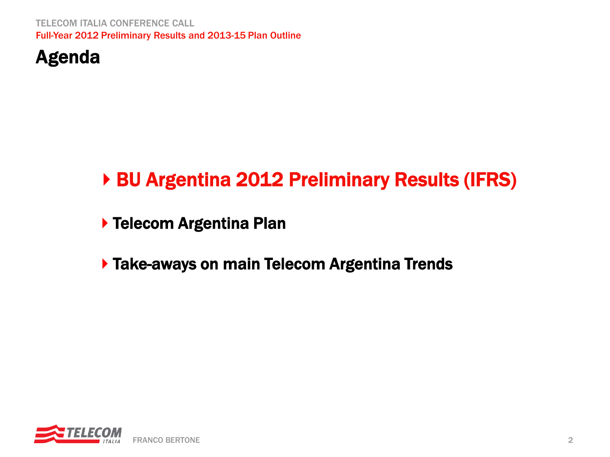

# ▶ BU Argentina 2012 Preliminary Results (IFRS)

▶ Telecom Argentina Plan

**Take-aways on main Telecom Argentina Trends** 

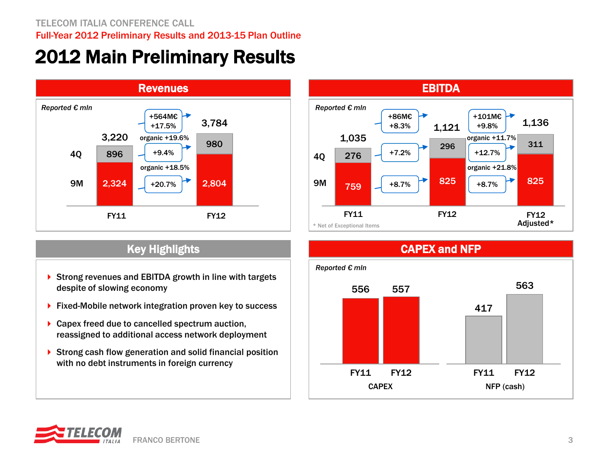## 2012 Main Preliminary Results



- Strong revenues and EBITDA growth in line with targets despite of slowing economy
- ▶ Fixed-Mobile network integration proven key to success
- ▶ Capex freed due to cancelled spectrum auction, reassigned to additional access network deployment
- ▶ Strong cash flow generation and solid financial position with no debt instruments in foreign currency





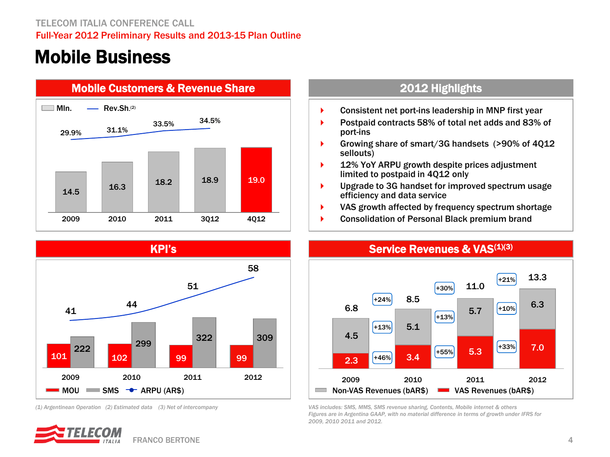### Mobile Business







*(1) Argentinean Operation (2) Estimated data (3) Net of intercompany* 



- **Consistent net port-ins leadership in MNP first year**
- ▶ Postpaid contracts 58% of total net adds and 83% of port-ins
- Growing share of smart/3G handsets (>90% of 4Q12 sellouts)
- ▶ 12% YoY ARPU growth despite prices adjustment limited to postpaid in 4Q12 only
- ▶ Upgrade to 3G handset for improved spectrum usage efficiency and data service
- VAS growth affected by frequency spectrum shortage
- ▶ Consolidation of Personal Black premium brand



*VAS includes: SMS, MMS, SMS revenue sharing, Contents, Mobile internet & others Figures are in Argentina GAAP, with no material difference in terms of growth under IFRS for 2009, 2010 2011 and 2012.*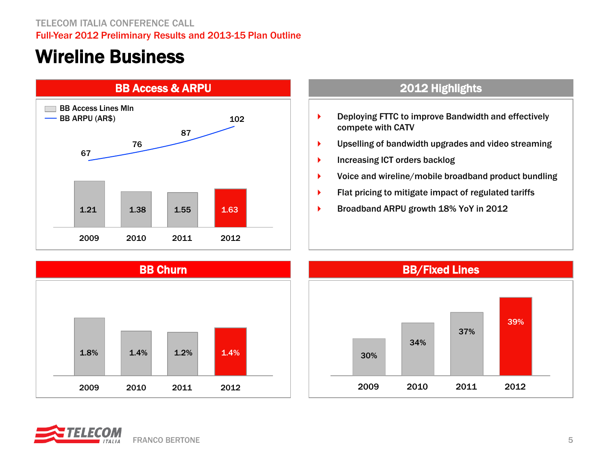### Wireline Business



- ▶ Deploying FTTC to improve Bandwidth and effectively compete with CATV
- Upselling of bandwidth upgrades and video streaming
- **Increasing ICT orders backlog**
- ▶ Voice and wireline/mobile broadband product bundling
- **Flat pricing to mitigate impact of regulated tariffs**
- Broadband ARPU growth 18% YoY in 2012





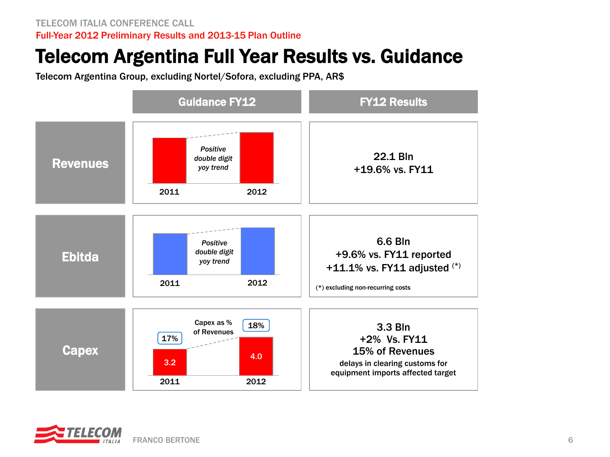### Telecom Argentina Full Year Results vs. Guidance

Telecom Argentina Group, excluding Nortel/Sofora, excluding PPA, AR\$



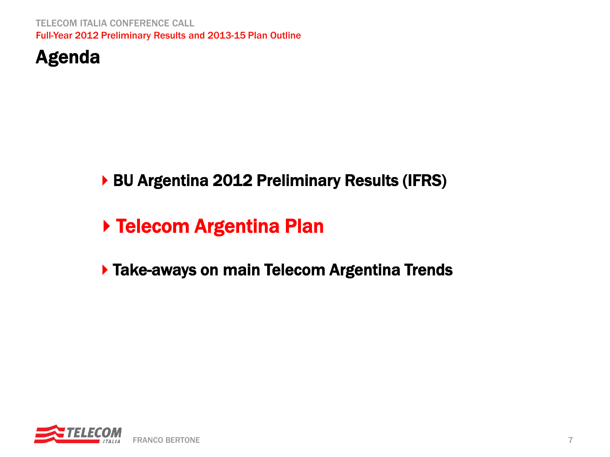

### BU Argentina 2012 Preliminary Results (IFRS)

# ▶ Telecom Argentina Plan

### **Take-aways on main Telecom Argentina Trends**

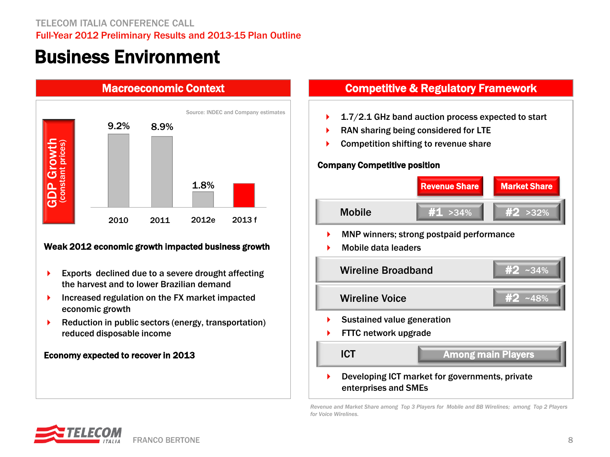### Business Environment



### Weak 2012 economic growth impacted business growth

- **Exports declined due to a severe drought affecting** the harvest and to lower Brazilian demand
- **Increased regulation on the FX market impacted** economic growth
- **Reduction in public sectors (energy, transportation)** reduced disposable income

### Economy expected to recover in 2013

### Macroeconomic Context Competitive & Regulatory Framework

- Source: INDEC and Company estimates **1.7/2.1 GHz band auction process expected to start** 
	- RAN sharing being considered for LTE
	- Competition shifting to revenue share

### Company Competitive position



*Revenue and Market Share among Top 3 Players for Mobile and BB Wirelines; among Top 2 Players for Voice Wirelines.*

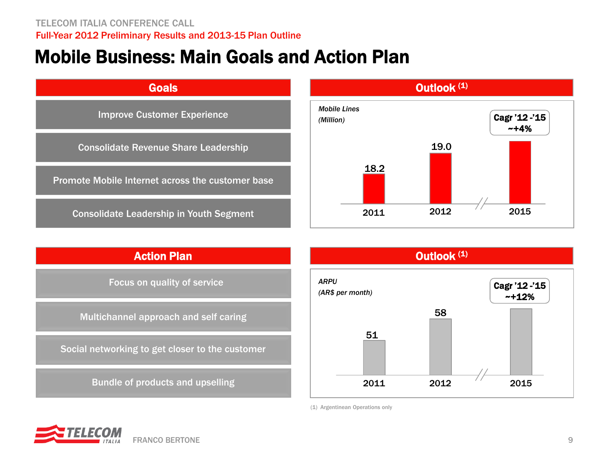### Mobile Business: Main Goals and Action Plan







(1) Argentinean Operations only

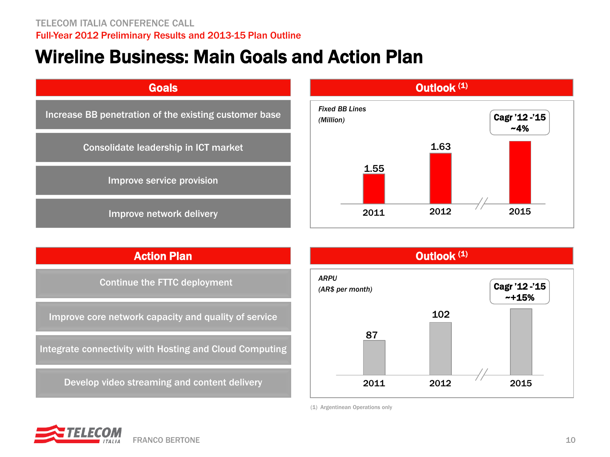### Wireline Business: Main Goals and Action Plan



### Action Plan

Continue the FTTC deployment

Improve core network capacity and quality of service

Integrate connectivity with Hosting and Cloud Computing

Develop video streaming and content delivery



(1) Argentinean Operations only

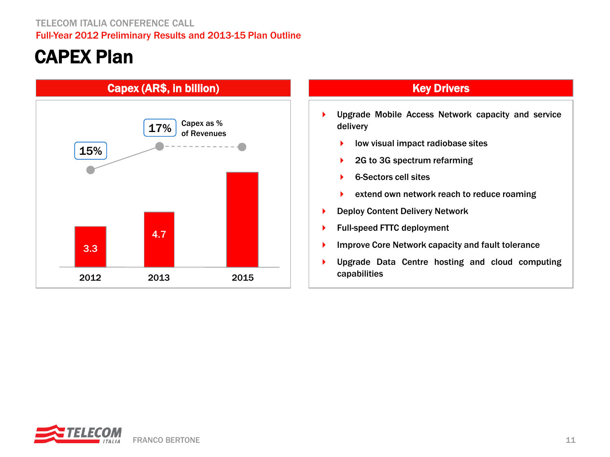## CAPEX Plan



- **Diagram Mobile Access Network capacity and service** delivery
	- low visual impact radiobase sites
	- ▶ 2G to 3G spectrum refarming
	- ▶ 6-Sectors cell sites
	- extend own network reach to reduce roaming
- ▶ Deploy Content Delivery Network
- ▶ Full-speed FTTC deployment
- **Improve Core Network capacity and fault tolerance**
- Upgrade Data Centre hosting and cloud computing capabilities

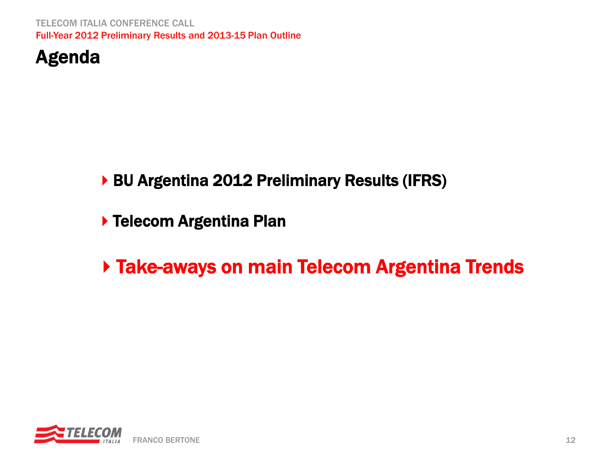

### BU Argentina 2012 Preliminary Results (IFRS)

**> Telecom Argentina Plan** 

## ▶ Take-aways on main Telecom Argentina Trends